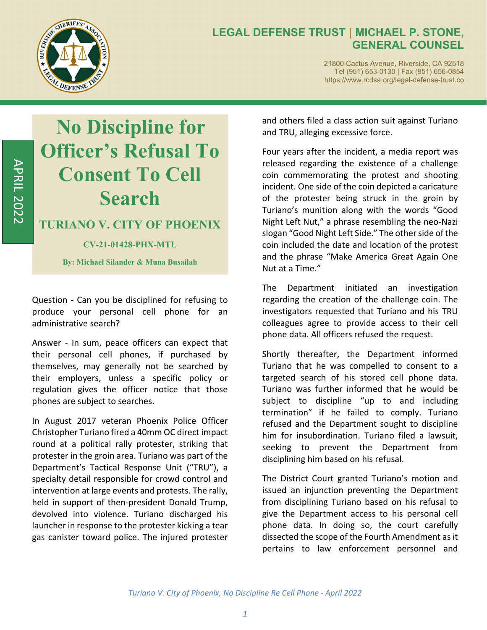

21800 Cactus Avenue, Riverside, CA 92518 Tel (951) 653-0130 | Fax (951) 656-0854 https://www.rcdsa.org/legal-defense-trust.co

# **No Discipline for Officer's Refusal To Consent To Cell Search**

## **TURIANO V. CITY OF PHOENIX**

#### **CV-21-01428-PHX-MTL**

**By: Michael Silander & Muna Busailah**

Question - Can you be disciplined for refusing to produce your personal cell phone for an administrative search?

Answer - In sum, peace officers can expect that their personal cell phones, if purchased by themselves, may generally not be searched by their employers, unless a specific policy or regulation gives the officer notice that those phones are subject to searches.

In August 2017 veteran Phoenix Police Officer Christopher Turiano fired a 40mm OC direct impact round at a political rally protester, striking that protester in the groin area. Turiano was part of the Department's Tactical Response Unit ("TRU"), a specialty detail responsible for crowd control and intervention at large events and protests. The rally, held in support of then‐president Donald Trump, devolved into violence. Turiano discharged his launcher in response to the protester kicking a tear gas canister toward police. The injured protester and others filed a class action suit against Turiano and TRU, alleging excessive force.

Four years after the incident, a media report was released regarding the existence of a challenge coin commemorating the protest and shooting incident. One side of the coin depicted a caricature of the protester being struck in the groin by Turiano's munition along with the words "Good Night Left Nut," a phrase resembling the neo‐Nazi slogan "Good Night Left Side." The other side of the coin included the date and location of the protest and the phrase "Make America Great Again One Nut at a Time."

The Department initiated an investigation regarding the creation of the challenge coin. The investigators requested that Turiano and his TRU colleagues agree to provide access to their cell phone data. All officers refused the request.

Shortly thereafter, the Department informed Turiano that he was compelled to consent to a targeted search of his stored cell phone data. Turiano was further informed that he would be subject to discipline "up to and including termination" if he failed to comply. Turiano refused and the Department sought to discipline him for insubordination. Turiano filed a lawsuit, seeking to prevent the Department from disciplining him based on his refusal.

The District Court granted Turiano's motion and issued an injunction preventing the Department from disciplining Turiano based on his refusal to give the Department access to his personal cell phone data. In doing so, the court carefully dissected the scope of the Fourth Amendment as it pertains to law enforcement personnel and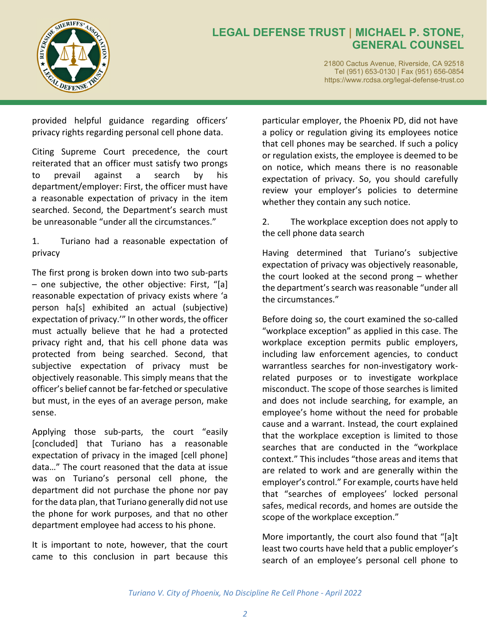

21800 Cactus Avenue, Riverside, CA 92518 Tel (951) 653-0130 | Fax (951) 656-0854 https://www.rcdsa.org/legal-defense-trust.co

provided helpful guidance regarding officers' privacy rights regarding personal cell phone data.

Citing Supreme Court precedence, the court reiterated that an officer must satisfy two prongs to prevail against a search by his department/employer: First, the officer must have a reasonable expectation of privacy in the item searched. Second, the Department's search must be unreasonable "under all the circumstances."

1. Turiano had a reasonable expectation of privacy

The first prong is broken down into two sub‐parts – one subjective, the other objective: First, "[a] reasonable expectation of privacy exists where 'a person ha[s] exhibited an actual (subjective) expectation of privacy.'" In other words, the officer must actually believe that he had a protected privacy right and, that his cell phone data was protected from being searched. Second, that subjective expectation of privacy must be objectively reasonable. This simply means that the officer's belief cannot be far-fetched or speculative but must, in the eyes of an average person, make sense.

Applying those sub‐parts, the court "easily [concluded] that Turiano has a reasonable expectation of privacy in the imaged [cell phone] data…" The court reasoned that the data at issue was on Turiano's personal cell phone, the department did not purchase the phone nor pay for the data plan, that Turiano generally did not use the phone for work purposes, and that no other department employee had access to his phone.

It is important to note, however, that the court came to this conclusion in part because this

particular employer, the Phoenix PD, did not have a policy or regulation giving its employees notice that cell phones may be searched. If such a policy or regulation exists, the employee is deemed to be on notice, which means there is no reasonable expectation of privacy. So, you should carefully review your employer's policies to determine whether they contain any such notice.

2. The workplace exception does not apply to the cell phone data search

Having determined that Turiano's subjective expectation of privacy was objectively reasonable, the court looked at the second prong – whether the department's search was reasonable "under all the circumstances."

Before doing so, the court examined the so-called "workplace exception" as applied in this case. The workplace exception permits public employers, including law enforcement agencies, to conduct warrantless searches for non‐investigatory work‐ related purposes or to investigate workplace misconduct. The scope of those searches is limited and does not include searching, for example, an employee's home without the need for probable cause and a warrant. Instead, the court explained that the workplace exception is limited to those searches that are conducted in the "workplace context." This includes "those areas and items that are related to work and are generally within the employer's control." For example, courts have held that "searches of employees' locked personal safes, medical records, and homes are outside the scope of the workplace exception."

More importantly, the court also found that "[a]t least two courts have held that a public employer's search of an employee's personal cell phone to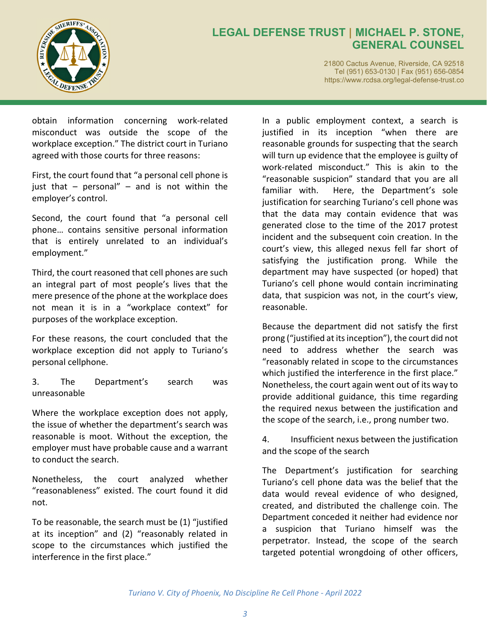

21800 Cactus Avenue, Riverside, CA 92518 Tel (951) 653-0130 | Fax (951) 656-0854 https://www.rcdsa.org/legal-defense-trust.co

obtain information concerning work‐related misconduct was outside the scope of the workplace exception." The district court in Turiano agreed with those courts for three reasons:

First, the court found that "a personal cell phone is just that  $-$  personal"  $-$  and is not within the employer's control.

Second, the court found that "a personal cell phone… contains sensitive personal information that is entirely unrelated to an individual's employment."

Third, the court reasoned that cell phones are such an integral part of most people's lives that the mere presence of the phone at the workplace does not mean it is in a "workplace context" for purposes of the workplace exception.

For these reasons, the court concluded that the workplace exception did not apply to Turiano's personal cellphone.

3. The Department's search was unreasonable

Where the workplace exception does not apply, the issue of whether the department's search was reasonable is moot. Without the exception, the employer must have probable cause and a warrant to conduct the search.

Nonetheless, the court analyzed whether "reasonableness" existed. The court found it did not.

To be reasonable, the search must be (1) "justified at its inception" and (2) "reasonably related in scope to the circumstances which justified the interference in the first place."

In a public employment context, a search is justified in its inception "when there are reasonable grounds for suspecting that the search will turn up evidence that the employee is guilty of work-related misconduct." This is akin to the "reasonable suspicion" standard that you are all familiar with. Here, the Department's sole justification for searching Turiano's cell phone was that the data may contain evidence that was generated close to the time of the 2017 protest incident and the subsequent coin creation. In the court's view, this alleged nexus fell far short of satisfying the justification prong. While the department may have suspected (or hoped) that Turiano's cell phone would contain incriminating data, that suspicion was not, in the court's view, reasonable.

Because the department did not satisfy the first prong ("justified at itsinception"), the court did not need to address whether the search was "reasonably related in scope to the circumstances which justified the interference in the first place." Nonetheless, the court again went out of its way to provide additional guidance, this time regarding the required nexus between the justification and the scope of the search, i.e., prong number two.

4. Insufficient nexus between the justification and the scope of the search

The Department's justification for searching Turiano's cell phone data was the belief that the data would reveal evidence of who designed, created, and distributed the challenge coin. The Department conceded it neither had evidence nor a suspicion that Turiano himself was the perpetrator. Instead, the scope of the search targeted potential wrongdoing of other officers,